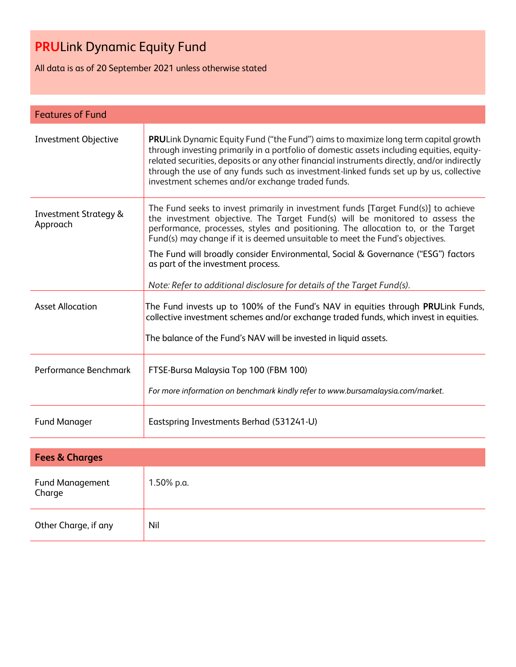All data is as of 20 September 2021 unless otherwise stated

| <b>Features of Fund</b>                      |                                                                                                                                                                                                                                                                                                                                                                                                                             |  |
|----------------------------------------------|-----------------------------------------------------------------------------------------------------------------------------------------------------------------------------------------------------------------------------------------------------------------------------------------------------------------------------------------------------------------------------------------------------------------------------|--|
| <b>Investment Objective</b>                  | PRULink Dynamic Equity Fund ("the Fund") aims to maximize long term capital growth<br>through investing primarily in a portfolio of domestic assets including equities, equity-<br>related securities, deposits or any other financial instruments directly, and/or indirectly<br>through the use of any funds such as investment-linked funds set up by us, collective<br>investment schemes and/or exchange traded funds. |  |
| <b>Investment Strategy &amp;</b><br>Approach | The Fund seeks to invest primarily in investment funds [Target Fund(s)] to achieve<br>the investment objective. The Target Fund(s) will be monitored to assess the<br>performance, processes, styles and positioning. The allocation to, or the Target<br>Fund(s) may change if it is deemed unsuitable to meet the Fund's objectives.                                                                                      |  |
|                                              | The Fund will broadly consider Environmental, Social & Governance ("ESG") factors<br>as part of the investment process.                                                                                                                                                                                                                                                                                                     |  |
|                                              | Note: Refer to additional disclosure for details of the Target Fund(s).                                                                                                                                                                                                                                                                                                                                                     |  |
| <b>Asset Allocation</b>                      | The Fund invests up to 100% of the Fund's NAV in equities through PRULink Funds,<br>collective investment schemes and/or exchange traded funds, which invest in equities.                                                                                                                                                                                                                                                   |  |
|                                              | The balance of the Fund's NAV will be invested in liquid assets.                                                                                                                                                                                                                                                                                                                                                            |  |
| Performance Benchmark                        | FTSE-Bursa Malaysia Top 100 (FBM 100)<br>For more information on benchmark kindly refer to www.bursamalaysia.com/market.                                                                                                                                                                                                                                                                                                    |  |
|                                              |                                                                                                                                                                                                                                                                                                                                                                                                                             |  |
| <b>Fund Manager</b>                          | Eastspring Investments Berhad (531241-U)                                                                                                                                                                                                                                                                                                                                                                                    |  |

| <b>Fees &amp; Charges</b>        |            |  |
|----------------------------------|------------|--|
| <b>Fund Management</b><br>Charge | 1.50% p.a. |  |
| Other Charge, if any             | Nil        |  |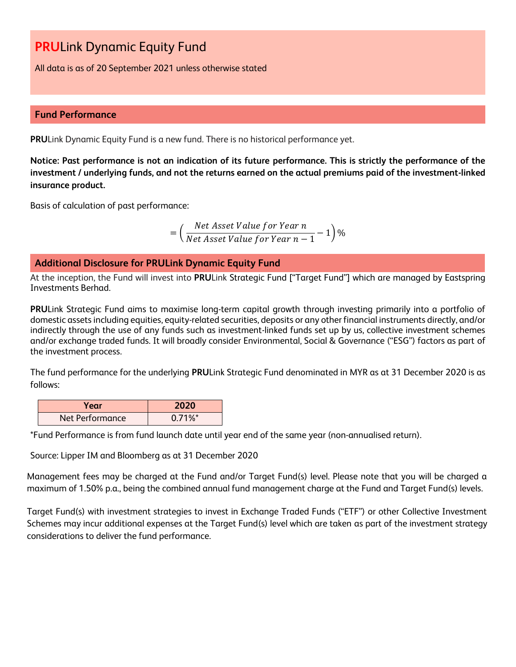All data is as of 20 September 2021 unless otherwise stated

#### **Fund Performance**

**PRU**Link Dynamic Equity Fund is a new fund. There is no historical performance yet.

**Notice: Past performance is not an indication of its future performance. This is strictly the performance of the investment / underlying funds, and not the returns earned on the actual premiums paid of the investment-linked insurance product.**

Basis of calculation of past performance:

$$
= \left(\frac{Net\ Asset\ Value\ for\ Year\ n}{Net\ Asset\ Value\ for\ Year\ n-1} - 1\right)\%
$$

### **Additional Disclosure for PRULink Dynamic Equity Fund**

At the inception, the Fund will invest into **PRU**Link Strategic Fund ["Target Fund"] which are managed by Eastspring Investments Berhad.

**PRU**Link Strategic Fund aims to maximise long-term capital growth through investing primarily into a portfolio of domestic assets including equities, equity-related securities, deposits or any other financial instruments directly, and/or indirectly through the use of any funds such as investment-linked funds set up by us, collective investment schemes and/or exchange traded funds. It will broadly consider Environmental, Social & Governance ("ESG") factors as part of the investment process.

The fund performance for the underlying **PRU**Link Strategic Fund denominated in MYR as at 31 December 2020 is as follows:

| Year            | 2020                  |
|-----------------|-----------------------|
| Net Performance | $0.71\%$ <sup>*</sup> |

\*Fund Performance is from fund launch date until year end of the same year (non-annualised return).

Source: Lipper IM and Bloomberg as at 31 December 2020

Management fees may be charged at the Fund and/or Target Fund(s) level. Please note that you will be charged a maximum of 1.50% p.a., being the combined annual fund management charge at the Fund and Target Fund(s) levels.

Target Fund(s) with investment strategies to invest in Exchange Traded Funds ("ETF") or other Collective Investment Schemes may incur additional expenses at the Target Fund(s) level which are taken as part of the investment strategy considerations to deliver the fund performance.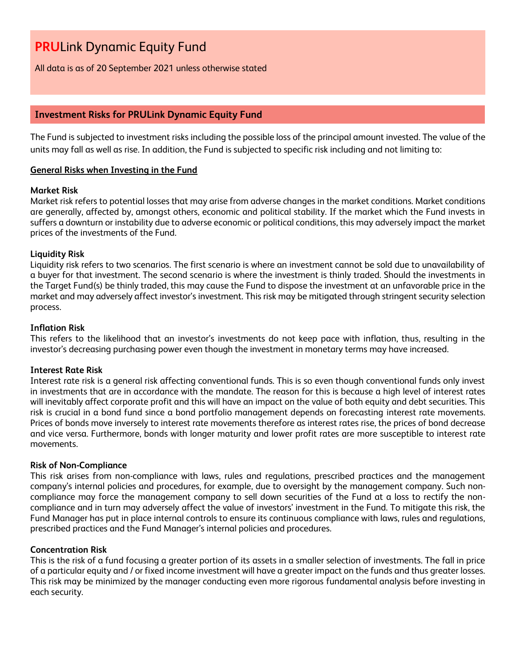All data is as of 20 September 2021 unless otherwise stated

### **Investment Risks for PRULink Dynamic Equity Fund**

The Fund is subjected to investment risks including the possible loss of the principal amount invested. The value of the units may fall as well as rise. In addition, the Fund is subjected to specific risk including and not limiting to:

#### **General Risks when Investing in the Fund**

#### **Market Risk**

Market risk refers to potential losses that may arise from adverse changes in the market conditions. Market conditions are generally, affected by, amongst others, economic and political stability. If the market which the Fund invests in suffers a downturn or instability due to adverse economic or political conditions, this may adversely impact the market prices of the investments of the Fund.

#### **Liquidity Risk**

Liquidity risk refers to two scenarios. The first scenario is where an investment cannot be sold due to unavailability of a buyer for that investment. The second scenario is where the investment is thinly traded. Should the investments in the Target Fund(s) be thinly traded, this may cause the Fund to dispose the investment at an unfavorable price in the market and may adversely affect investor's investment. This risk may be mitigated through stringent security selection process.

#### **Inflation Risk**

This refers to the likelihood that an investor's investments do not keep pace with inflation, thus, resulting in the investor's decreasing purchasing power even though the investment in monetary terms may have increased.

#### **Interest Rate Risk**

Interest rate risk is a general risk affecting conventional funds. This is so even though conventional funds only invest in investments that are in accordance with the mandate. The reason for this is because a high level of interest rates will inevitably affect corporate profit and this will have an impact on the value of both equity and debt securities. This risk is crucial in a bond fund since a bond portfolio management depends on forecasting interest rate movements. Prices of bonds move inversely to interest rate movements therefore as interest rates rise, the prices of bond decrease and vice versa. Furthermore, bonds with longer maturity and lower profit rates are more susceptible to interest rate movements.

#### **Risk of Non-Compliance**

This risk arises from non-compliance with laws, rules and regulations, prescribed practices and the management company's internal policies and procedures, for example, due to oversight by the management company. Such noncompliance may force the management company to sell down securities of the Fund at a loss to rectify the noncompliance and in turn may adversely affect the value of investors' investment in the Fund. To mitigate this risk, the Fund Manager has put in place internal controls to ensure its continuous compliance with laws, rules and regulations, prescribed practices and the Fund Manager's internal policies and procedures.

#### **Concentration Risk**

This is the risk of a fund focusing a greater portion of its assets in a smaller selection of investments. The fall in price of a particular equity and / or fixed income investment will have a greater impact on the funds and thus greater losses. This risk may be minimized by the manager conducting even more rigorous fundamental analysis before investing in each security.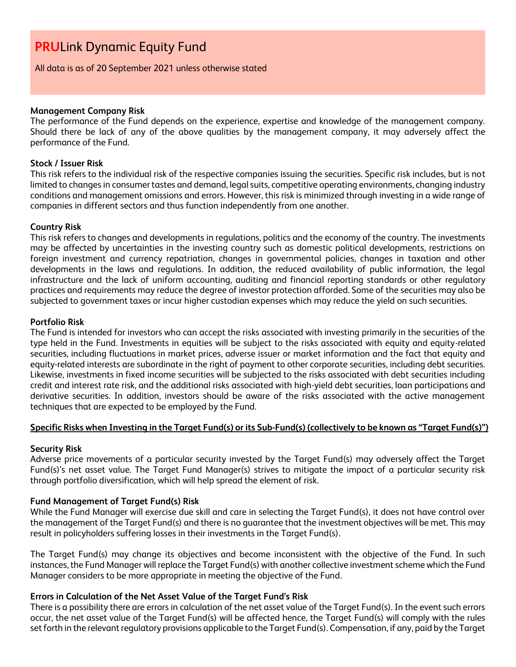All data is as of 20 September 2021 unless otherwise stated

#### **Management Company Risk**

The performance of the Fund depends on the experience, expertise and knowledge of the management company. Should there be lack of any of the above qualities by the management company, it may adversely affect the performance of the Fund.

#### **Stock / Issuer Risk**

This risk refers to the individual risk of the respective companies issuing the securities. Specific risk includes, but is not limited to changes in consumer tastes and demand, legal suits, competitive operating environments, changing industry conditions and management omissions and errors. However, this risk is minimized through investing in a wide range of companies in different sectors and thus function independently from one another.

#### **Country Risk**

This risk refers to changes and developments in regulations, politics and the economy of the country. The investments may be affected by uncertainties in the investing country such as domestic political developments, restrictions on foreign investment and currency repatriation, changes in governmental policies, changes in taxation and other developments in the laws and regulations. In addition, the reduced availability of public information, the legal infrastructure and the lack of uniform accounting, auditing and financial reporting standards or other regulatory practices and requirements may reduce the degree of investor protection afforded. Some of the securities may also be subjected to government taxes or incur higher custodian expenses which may reduce the yield on such securities.

#### **Portfolio Risk**

The Fund is intended for investors who can accept the risks associated with investing primarily in the securities of the type held in the Fund. Investments in equities will be subject to the risks associated with equity and equity-related securities, including fluctuations in market prices, adverse issuer or market information and the fact that equity and equity-related interests are subordinate in the right of payment to other corporate securities, including debt securities. Likewise, investments in fixed income securities will be subjected to the risks associated with debt securities including credit and interest rate risk, and the additional risks associated with high-yield debt securities, loan participations and derivative securities. In addition, investors should be aware of the risks associated with the active management techniques that are expected to be employed by the Fund.

#### **Specific Risks when Investing in the Target Fund(s) or its Sub-Fund(s) (collectively to be known as "Target Fund(s)")**

#### **Security Risk**

Adverse price movements of a particular security invested by the Target Fund(s) may adversely affect the Target Fund(s)'s net asset value. The Target Fund Manager(s) strives to mitigate the impact of a particular security risk through portfolio diversification, which will help spread the element of risk.

#### **Fund Management of Target Fund(s) Risk**

While the Fund Manager will exercise due skill and care in selecting the Target Fund(s), it does not have control over the management of the Target Fund(s) and there is no guarantee that the investment objectives will be met. This may result in policyholders suffering losses in their investments in the Target Fund(s).

The Target Fund(s) may change its objectives and become inconsistent with the objective of the Fund. In such instances, the Fund Manager will replace the Target Fund(s) with another collective investment scheme which the Fund Manager considers to be more appropriate in meeting the objective of the Fund.

#### **Errors in Calculation of the Net Asset Value of the Target Fund's Risk**

There is a possibility there are errors in calculation of the net asset value of the Target Fund(s). In the event such errors occur, the net asset value of the Target Fund(s) will be affected hence, the Target Fund(s) will comply with the rules set forth in the relevant regulatory provisions applicable to the Target Fund(s). Compensation, if any, paid by the Target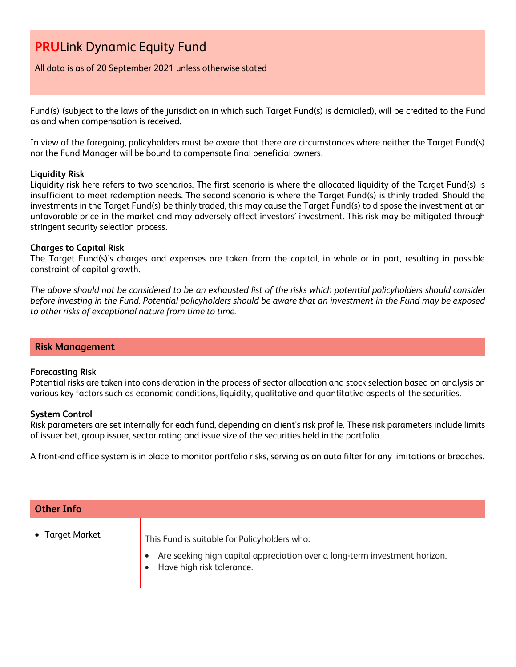All data is as of 20 September 2021 unless otherwise stated

Fund(s) (subject to the laws of the jurisdiction in which such Target Fund(s) is domiciled), will be credited to the Fund as and when compensation is received.

In view of the foregoing, policyholders must be aware that there are circumstances where neither the Target Fund(s) nor the Fund Manager will be bound to compensate final beneficial owners.

#### **Liquidity Risk**

Liquidity risk here refers to two scenarios. The first scenario is where the allocated liquidity of the Target Fund(s) is insufficient to meet redemption needs. The second scenario is where the Target Fund(s) is thinly traded. Should the investments in the Target Fund(s) be thinly traded, this may cause the Target Fund(s) to dispose the investment at an unfavorable price in the market and may adversely affect investors' investment. This risk may be mitigated through stringent security selection process.

#### **Charges to Capital Risk**

The Target Fund(s)'s charges and expenses are taken from the capital, in whole or in part, resulting in possible constraint of capital growth.

*The above should not be considered to be an exhausted list of the risks which potential policyholders should consider before investing in the Fund. Potential policyholders should be aware that an investment in the Fund may be exposed to other risks of exceptional nature from time to time.*

#### **Risk Management**

#### **Forecasting Risk**

Potential risks are taken into consideration in the process of sector allocation and stock selection based on analysis on various key factors such as economic conditions, liquidity, qualitative and quantitative aspects of the securities.

#### **System Control**

Risk parameters are set internally for each fund, depending on client's risk profile. These risk parameters include limits of issuer bet, group issuer, sector rating and issue size of the securities held in the portfolio.

A front-end office system is in place to monitor portfolio risks, serving as an auto filter for any limitations or breaches.

| <b>Other Info</b> |                                                                                                                                                         |  |
|-------------------|---------------------------------------------------------------------------------------------------------------------------------------------------------|--|
| • Target Market   | This Fund is suitable for Policyholders who:<br>Are seeking high capital appreciation over a long-term investment horizon.<br>Have high risk tolerance. |  |